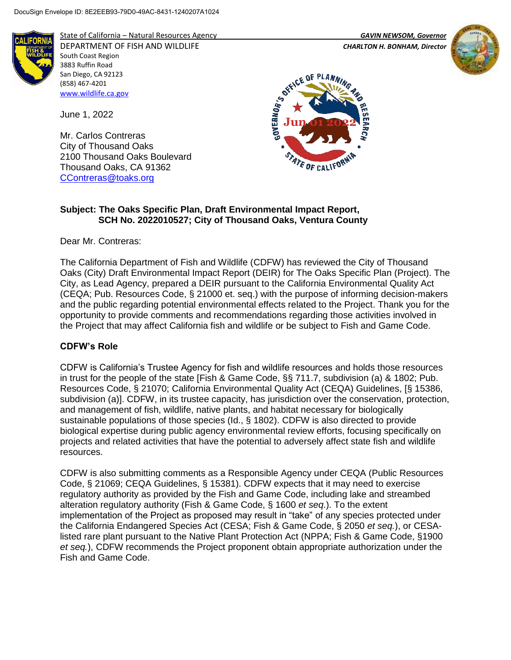

State of California – Natural Resources Agency *GAVIN NEWSOM, Governor*

DEPARTMENT OF FISH AND WILDLIFE *CHARLTON H. BONHAM, Director*  South Coast Region 3883 Ruffin Road San Diego, CA 92123 (858) 467-4201 [www.wildlife.ca.gov](http://www.wildlife.ca.gov/)

June 1, 2022

Mr. Carlos Contreras City of Thousand Oaks 2100 Thousand Oaks Boulevard Thousand Oaks, CA 91362 [CContreras@toaks.org](mailto:CContreras@toaks.org)





## **Subject: The Oaks Specific Plan, Draft Environmental Impact Report, SCH No. 2022010527; City of Thousand Oaks, Ventura County**

Dear Mr. Contreras:

The California Department of Fish and Wildlife (CDFW) has reviewed the City of Thousand Oaks (City) Draft Environmental Impact Report (DEIR) for The Oaks Specific Plan (Project). The City, as Lead Agency, prepared a DEIR pursuant to the California Environmental Quality Act (CEQA; Pub. Resources Code, § 21000 et. seq.) with the purpose of informing decision-makers and the public regarding potential environmental effects related to the Project. Thank you for the opportunity to provide comments and recommendations regarding those activities involved in the Project that may affect California fish and wildlife or be subject to Fish and Game Code.

## **CDFW's Role**

CDFW is California's Trustee Agency for fish and wildlife resources and holds those resources in trust for the people of the state [Fish & Game Code, §§ 711.7, subdivision (a) & 1802; Pub. Resources Code, § 21070; California Environmental Quality Act (CEQA) Guidelines, [§ 15386, subdivision (a)]. CDFW, in its trustee capacity, has jurisdiction over the conservation, protection, and management of fish, wildlife, native plants, and habitat necessary for biologically sustainable populations of those species (Id., § 1802). CDFW is also directed to provide biological expertise during public agency environmental review efforts, focusing specifically on projects and related activities that have the potential to adversely affect state fish and wildlife resources.

CDFW is also submitting comments as a Responsible Agency under CEQA (Public Resources Code, § 21069; CEQA Guidelines, § 15381). CDFW expects that it may need to exercise regulatory authority as provided by the Fish and Game Code, including lake and streambed alteration regulatory authority (Fish & Game Code, § 1600 *et seq*.). To the extent implementation of the Project as proposed may result in "take" of any species protected under the California Endangered Species Act (CESA; Fish & Game Code, § 2050 *et seq.*), or CESAlisted rare plant pursuant to the Native Plant Protection Act (NPPA; Fish & Game Code, §1900 *et seq.*), CDFW recommends the Project proponent obtain appropriate authorization under the Fish and Game Code.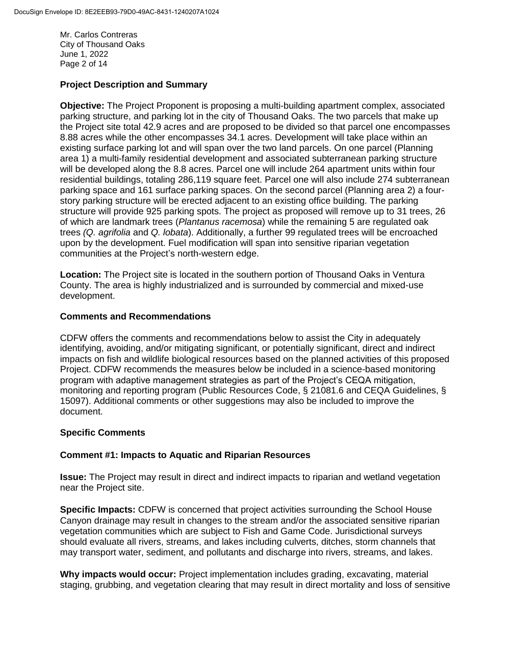Mr. Carlos Contreras City of Thousand Oaks June 1, 2022 Page 2 of 14

## **Project Description and Summary**

**Objective:** The Project Proponent is proposing a multi-building apartment complex, associated parking structure, and parking lot in the city of Thousand Oaks. The two parcels that make up the Project site total 42.9 acres and are proposed to be divided so that parcel one encompasses 8.88 acres while the other encompasses 34.1 acres. Development will take place within an existing surface parking lot and will span over the two land parcels. On one parcel (Planning area 1) a multi-family residential development and associated subterranean parking structure will be developed along the 8.8 acres. Parcel one will include 264 apartment units within four residential buildings, totaling 286,119 square feet. Parcel one will also include 274 subterranean parking space and 161 surface parking spaces. On the second parcel (Planning area 2) a fourstory parking structure will be erected adjacent to an existing office building. The parking structure will provide 925 parking spots. The project as proposed will remove up to 31 trees, 26 of which are landmark trees (*Plantanus racemosa*) while the remaining 5 are regulated oak trees *(Q. agrifolia* and *Q. lobata*). Additionally, a further 99 regulated trees will be encroached upon by the development. Fuel modification will span into sensitive riparian vegetation communities at the Project's north-western edge.

**Location:** The Project site is located in the southern portion of Thousand Oaks in Ventura County. The area is highly industrialized and is surrounded by commercial and mixed-use development.

## **Comments and Recommendations**

CDFW offers the comments and recommendations below to assist the City in adequately identifying, avoiding, and/or mitigating significant, or potentially significant, direct and indirect impacts on fish and wildlife biological resources based on the planned activities of this proposed Project. CDFW recommends the measures below be included in a science-based monitoring program with adaptive management strategies as part of the Project's CEQA mitigation, monitoring and reporting program (Public Resources Code, § 21081.6 and CEQA Guidelines, § 15097). Additional comments or other suggestions may also be included to improve the document.

## **Specific Comments**

## **Comment #1: Impacts to Aquatic and Riparian Resources**

**Issue:** The Project may result in direct and indirect impacts to riparian and wetland vegetation near the Project site.

**Specific Impacts:** CDFW is concerned that project activities surrounding the School House Canyon drainage may result in changes to the stream and/or the associated sensitive riparian vegetation communities which are subject to Fish and Game Code. Jurisdictional surveys should evaluate all rivers, streams, and lakes including culverts, ditches, storm channels that may transport water, sediment, and pollutants and discharge into rivers, streams, and lakes.

**Why impacts would occur:** Project implementation includes grading, excavating, material staging, grubbing, and vegetation clearing that may result in direct mortality and loss of sensitive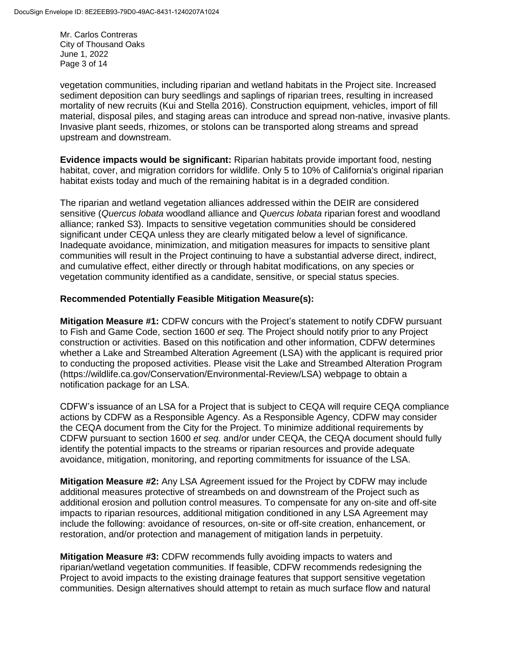Mr. Carlos Contreras City of Thousand Oaks June 1, 2022 Page 3 of 14

vegetation communities, including riparian and wetland habitats in the Project site. Increased sediment deposition can bury seedlings and saplings of riparian trees, resulting in increased mortality of new recruits (Kui and Stella 2016). Construction equipment, vehicles, import of fill material, disposal piles, and staging areas can introduce and spread non-native, invasive plants. Invasive plant seeds, rhizomes, or stolons can be transported along streams and spread upstream and downstream.

**Evidence impacts would be significant:** Riparian habitats provide important food, nesting habitat, cover, and migration corridors for wildlife. Only 5 to 10% of California's original riparian habitat exists today and much of the remaining habitat is in a degraded condition.

The riparian and wetland vegetation alliances addressed within the DEIR are considered sensitive (*Quercus lobata* woodland alliance and *Quercus lobata* riparian forest and woodland alliance; ranked S3). Impacts to sensitive vegetation communities should be considered significant under CEQA unless they are clearly mitigated below a level of significance. Inadequate avoidance, minimization, and mitigation measures for impacts to sensitive plant communities will result in the Project continuing to have a substantial adverse direct, indirect, and cumulative effect, either directly or through habitat modifications, on any species or vegetation community identified as a candidate, sensitive, or special status species.

## **Recommended Potentially Feasible Mitigation Measure(s):**

**Mitigation Measure #1:** CDFW concurs with the Project's statement to notify CDFW pursuant to Fish and Game Code, section 1600 *et seq.* The Project should notify prior to any Project construction or activities. Based on this notification and other information, CDFW determines whether a Lake and Streambed Alteration Agreement (LSA) with the applicant is required prior to conducting the proposed activities. Please visit the Lake and Streambed Alteration Program (https://wildlife.ca.gov/Conservation/Environmental-Review/LSA) webpage to obtain a notification package for an LSA.

CDFW's issuance of an LSA for a Project that is subject to CEQA will require CEQA compliance actions by CDFW as a Responsible Agency. As a Responsible Agency, CDFW may consider the CEQA document from the City for the Project. To minimize additional requirements by CDFW pursuant to section 1600 *et seq.* and/or under CEQA, the CEQA document should fully identify the potential impacts to the streams or riparian resources and provide adequate avoidance, mitigation, monitoring, and reporting commitments for issuance of the LSA.

**Mitigation Measure #2:** Any LSA Agreement issued for the Project by CDFW may include additional measures protective of streambeds on and downstream of the Project such as additional erosion and pollution control measures. To compensate for any on-site and off-site impacts to riparian resources, additional mitigation conditioned in any LSA Agreement may include the following: avoidance of resources, on-site or off-site creation, enhancement, or restoration, and/or protection and management of mitigation lands in perpetuity.

**Mitigation Measure #3:** CDFW recommends fully avoiding impacts to waters and riparian/wetland vegetation communities. If feasible, CDFW recommends redesigning the Project to avoid impacts to the existing drainage features that support sensitive vegetation communities. Design alternatives should attempt to retain as much surface flow and natural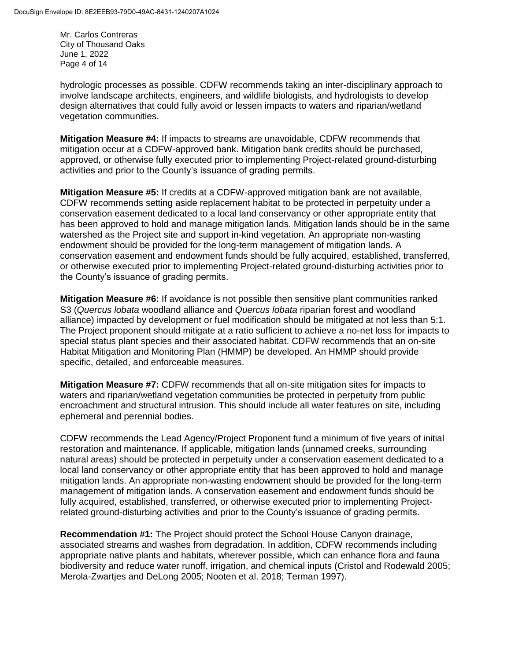Mr. Carlos Contreras City of Thousand Oaks June 1, 2022 Page 4 of 14

hydrologic processes as possible. CDFW recommends taking an inter-disciplinary approach to involve landscape architects, engineers, and wildlife biologists, and hydrologists to develop design alternatives that could fully avoid or lessen impacts to waters and riparian/wetland vegetation communities.

**Mitigation Measure #4:** If impacts to streams are unavoidable, CDFW recommends that mitigation occur at a CDFW-approved bank. Mitigation bank credits should be purchased, approved, or otherwise fully executed prior to implementing Project-related ground-disturbing activities and prior to the County's issuance of grading permits.

**Mitigation Measure #5:** If credits at a CDFW-approved mitigation bank are not available, CDFW recommends setting aside replacement habitat to be protected in perpetuity under a conservation easement dedicated to a local land conservancy or other appropriate entity that has been approved to hold and manage mitigation lands. Mitigation lands should be in the same watershed as the Project site and support in-kind vegetation. An appropriate non-wasting endowment should be provided for the long-term management of mitigation lands. A conservation easement and endowment funds should be fully acquired, established, transferred, or otherwise executed prior to implementing Project-related ground-disturbing activities prior to the County's issuance of grading permits.

**Mitigation Measure #6:** If avoidance is not possible then sensitive plant communities ranked S3 (*Quercus lobata* woodland alliance and *Quercus lobata* riparian forest and woodland alliance) impacted by development or fuel modification should be mitigated at not less than 5:1. The Project proponent should mitigate at a ratio sufficient to achieve a no-net loss for impacts to special status plant species and their associated habitat. CDFW recommends that an on-site Habitat Mitigation and Monitoring Plan (HMMP) be developed. An HMMP should provide specific, detailed, and enforceable measures.

**Mitigation Measure #7:** CDFW recommends that all on-site mitigation sites for impacts to waters and riparian/wetland vegetation communities be protected in perpetuity from public encroachment and structural intrusion. This should include all water features on site, including ephemeral and perennial bodies.

CDFW recommends the Lead Agency/Project Proponent fund a minimum of five years of initial restoration and maintenance. If applicable, mitigation lands (unnamed creeks, surrounding natural areas) should be protected in perpetuity under a conservation easement dedicated to a local land conservancy or other appropriate entity that has been approved to hold and manage mitigation lands. An appropriate non-wasting endowment should be provided for the long-term management of mitigation lands. A conservation easement and endowment funds should be fully acquired, established, transferred, or otherwise executed prior to implementing Projectrelated ground-disturbing activities and prior to the County's issuance of grading permits.

**Recommendation #1:** The Project should protect the School House Canyon drainage, associated streams and washes from degradation. In addition, CDFW recommends including appropriate native plants and habitats, wherever possible, which can enhance flora and fauna biodiversity and reduce water runoff, irrigation, and chemical inputs (Cristol and Rodewald 2005; Merola-Zwartjes and DeLong 2005; Nooten et al. 2018; Terman 1997).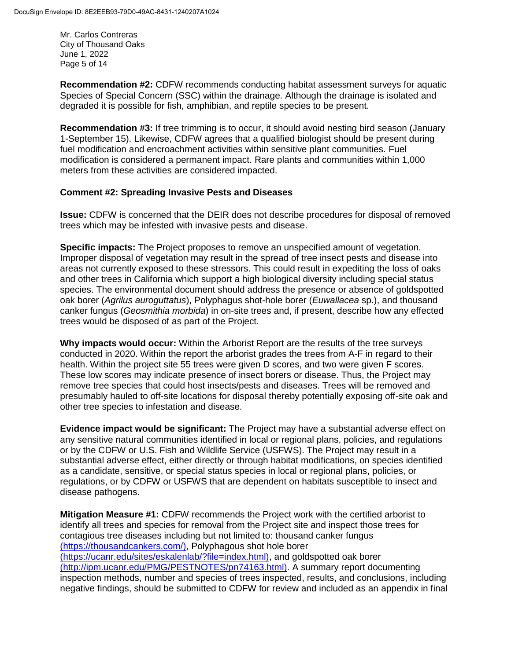Mr. Carlos Contreras City of Thousand Oaks June 1, 2022 Page 5 of 14

**Recommendation #2:** CDFW recommends conducting habitat assessment surveys for aquatic Species of Special Concern (SSC) within the drainage. Although the drainage is isolated and degraded it is possible for fish, amphibian, and reptile species to be present.

**Recommendation #3:** If tree trimming is to occur, it should avoid nesting bird season (January 1-September 15). Likewise, CDFW agrees that a qualified biologist should be present during fuel modification and encroachment activities within sensitive plant communities. Fuel modification is considered a permanent impact. Rare plants and communities within 1,000 meters from these activities are considered impacted.

#### **Comment #2: Spreading Invasive Pests and Diseases**

**Issue:** CDFW is concerned that the DEIR does not describe procedures for disposal of removed trees which may be infested with invasive pests and disease.

**Specific impacts:** The Project proposes to remove an unspecified amount of vegetation. Improper disposal of vegetation may result in the spread of tree insect pests and disease into areas not currently exposed to these stressors. This could result in expediting the loss of oaks and other trees in California which support a high biological diversity including special status species. The environmental document should address the presence or absence of goldspotted oak borer (*Agrilus auroguttatus*), Polyphagus shot-hole borer (*Euwallacea* sp.), and thousand canker fungus (*Geosmithia morbida*) in on-site trees and, if present, describe how any effected trees would be disposed of as part of the Project.

**Why impacts would occur:** Within the Arborist Report are the results of the tree surveys conducted in 2020. Within the report the arborist grades the trees from A-F in regard to their health. Within the project site 55 trees were given D scores, and two were given F scores. These low scores may indicate presence of insect borers or disease. Thus, the Project may remove tree species that could host insects/pests and diseases. Trees will be removed and presumably hauled to off-site locations for disposal thereby potentially exposing off-site oak and other tree species to infestation and disease.

**Evidence impact would be significant:** The Project may have a substantial adverse effect on any sensitive natural communities identified in local or regional plans, policies, and regulations or by the CDFW or U.S. Fish and Wildlife Service (USFWS). The Project may result in a substantial adverse effect, either directly or through habitat modifications, on species identified as a candidate, sensitive, or special status species in local or regional plans, policies, or regulations, or by CDFW or USFWS that are dependent on habitats susceptible to insect and disease pathogens.

**Mitigation Measure #1:** CDFW recommends the Project work with the certified arborist to identify all trees and species for removal from the Project site and inspect those trees for contagious tree diseases including but not limited to: thousand canker fungus (https://thousandcankers.com/), Polyphagous shot hole borer (https://ucanr.edu/sites/eskalenlab/?file=index.html), and goldspotted oak borer (http://ipm.ucanr.edu/PMG/PESTNOTES/pn74163.html). A summary report documenting inspection methods, number and species of trees inspected, results, and conclusions, including negative findings, should be submitted to CDFW for review and included as an appendix in final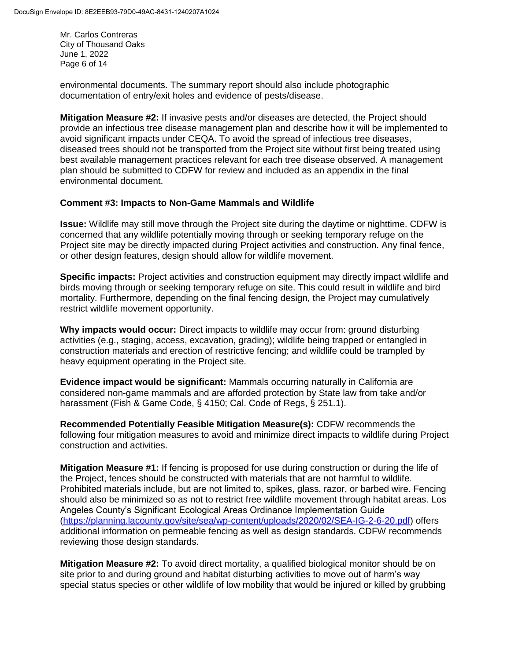Mr. Carlos Contreras City of Thousand Oaks June 1, 2022 Page 6 of 14

environmental documents. The summary report should also include photographic documentation of entry/exit holes and evidence of pests/disease.

**Mitigation Measure #2:** If invasive pests and/or diseases are detected, the Project should provide an infectious tree disease management plan and describe how it will be implemented to avoid significant impacts under CEQA. To avoid the spread of infectious tree diseases, diseased trees should not be transported from the Project site without first being treated using best available management practices relevant for each tree disease observed. A management plan should be submitted to CDFW for review and included as an appendix in the final environmental document.

#### **Comment #3: Impacts to Non-Game Mammals and Wildlife**

**Issue:** Wildlife may still move through the Project site during the daytime or nighttime. CDFW is concerned that any wildlife potentially moving through or seeking temporary refuge on the Project site may be directly impacted during Project activities and construction. Any final fence, or other design features, design should allow for wildlife movement.

**Specific impacts:** Project activities and construction equipment may directly impact wildlife and birds moving through or seeking temporary refuge on site. This could result in wildlife and bird mortality. Furthermore, depending on the final fencing design, the Project may cumulatively restrict wildlife movement opportunity.

**Why impacts would occur:** Direct impacts to wildlife may occur from: ground disturbing activities (e.g., staging, access, excavation, grading); wildlife being trapped or entangled in construction materials and erection of restrictive fencing; and wildlife could be trampled by heavy equipment operating in the Project site.

**Evidence impact would be significant:** Mammals occurring naturally in California are considered non-game mammals and are afforded protection by State law from take and/or harassment (Fish & Game Code, § 4150; Cal. Code of Regs, § 251.1).

**Recommended Potentially Feasible Mitigation Measure(s):** CDFW recommends the following four mitigation measures to avoid and minimize direct impacts to wildlife during Project construction and activities.

**Mitigation Measure #1:** If fencing is proposed for use during construction or during the life of the Project, fences should be constructed with materials that are not harmful to wildlife. Prohibited materials include, but are not limited to, spikes, glass, razor, or barbed wire. Fencing should also be minimized so as not to restrict free wildlife movement through habitat areas. Los Angeles County's Significant Ecological Areas Ordinance Implementation Guide [\(https://planning.lacounty.gov/site/sea/wp-content/uploads/2020/02/SEA-IG-2-6-20.pdf\)](https://planning.lacounty.gov/site/sea/wp-content/uploads/2020/02/SEA-IG-2-6-20.pdf) offers additional information on permeable fencing as well as design standards. CDFW recommends reviewing those design standards.

**Mitigation Measure #2:** To avoid direct mortality, a qualified biological monitor should be on site prior to and during ground and habitat disturbing activities to move out of harm's way special status species or other wildlife of low mobility that would be injured or killed by grubbing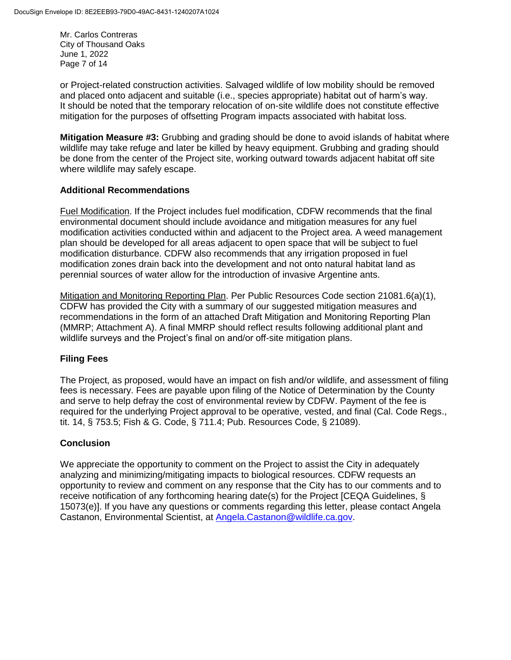Mr. Carlos Contreras City of Thousand Oaks June 1, 2022 Page 7 of 14

or Project-related construction activities. Salvaged wildlife of low mobility should be removed and placed onto adjacent and suitable (i.e., species appropriate) habitat out of harm's way. It should be noted that the temporary relocation of on-site wildlife does not constitute effective mitigation for the purposes of offsetting Program impacts associated with habitat loss.

**Mitigation Measure #3:** Grubbing and grading should be done to avoid islands of habitat where wildlife may take refuge and later be killed by heavy equipment. Grubbing and grading should be done from the center of the Project site, working outward towards adjacent habitat off site where wildlife may safely escape.

## **Additional Recommendations**

Fuel Modification. If the Project includes fuel modification, CDFW recommends that the final environmental document should include avoidance and mitigation measures for any fuel modification activities conducted within and adjacent to the Project area. A weed management plan should be developed for all areas adjacent to open space that will be subject to fuel modification disturbance. CDFW also recommends that any irrigation proposed in fuel modification zones drain back into the development and not onto natural habitat land as perennial sources of water allow for the introduction of invasive Argentine ants.

Mitigation and Monitoring Reporting Plan. Per Public Resources Code section 21081.6(a)(1), CDFW has provided the City with a summary of our suggested mitigation measures and recommendations in the form of an attached Draft Mitigation and Monitoring Reporting Plan (MMRP; Attachment A). A final MMRP should reflect results following additional plant and wildlife surveys and the Project's final on and/or off-site mitigation plans.

## **Filing Fees**

The Project, as proposed, would have an impact on fish and/or wildlife, and assessment of filing fees is necessary. Fees are payable upon filing of the Notice of Determination by the County and serve to help defray the cost of environmental review by CDFW. Payment of the fee is required for the underlying Project approval to be operative, vested, and final (Cal. Code Regs., tit. 14, § 753.5; Fish & G. Code, § 711.4; Pub. Resources Code, § 21089).

## **Conclusion**

We appreciate the opportunity to comment on the Project to assist the City in adequately analyzing and minimizing/mitigating impacts to biological resources. CDFW requests an opportunity to review and comment on any response that the City has to our comments and to receive notification of any forthcoming hearing date(s) for the Project [CEQA Guidelines, § 15073(e)]. If you have any questions or comments regarding this letter, please contact Angela Castanon, Environmental Scientist, at [Angela.Castanon@wildlife.ca.gov.](mailto:Baron.Barrera@wildlife.ca.gov)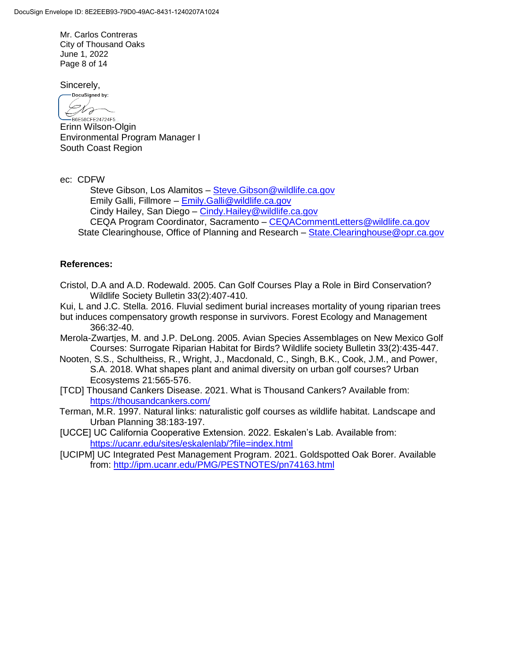Mr. Carlos Contreras City of Thousand Oaks June 1, 2022 Page 8 of 14

Sincerely,

DocuSigned by: Dra  $\leftarrow$ B6E58CFE24724F5..

Erinn Wilson-Olgin Environmental Program Manager I South Coast Region

ec: CDFW

Steve Gibson, Los Alamitos – [Steve.Gibson@wildlife.ca.gov](mailto:Steve.Gibson@wildlife.ca.gov) Emily Galli, Fillmore – [Emily.Galli@wildlife.ca.gov](mailto:Emily.Galli@wildlife.ca.gov) Cindy Hailey, San Diego – [Cindy.Hailey@wildlife.ca.gov](mailto:Cindy.Hailey@wildlife.ca.gov) CEQA Program Coordinator, Sacramento – [CEQACommentLetters@wildlife.ca.gov](mailto:CEQACommentLetters@wildlife.ca.gov)  State Clearinghouse, Office of Planning and Research – State. Clearinghouse@opr.ca.gov

## **References:**

- Cristol, D.A and A.D. Rodewald. 2005. Can Golf Courses Play a Role in Bird Conservation? Wildlife Society Bulletin 33(2):407-410.
- Kui, L and J.C. Stella. 2016. Fluvial sediment burial increases mortality of young riparian trees
- but induces compensatory growth response in survivors. Forest Ecology and Management 366:32-40.
- Merola-Zwartjes, M. and J.P. DeLong. 2005. Avian Species Assemblages on New Mexico Golf Courses: Surrogate Riparian Habitat for Birds? Wildlife society Bulletin 33(2):435-447.
- Nooten, S.S., Schultheiss, R., Wright, J., Macdonald, C., Singh, B.K., Cook, J.M., and Power, S.A. 2018. What shapes plant and animal diversity on urban golf courses? Urban Ecosystems 21:565-576.
- [TCD] Thousand Cankers Disease. 2021. What is Thousand Cankers? Available from: <https://thousandcankers.com/>
- Terman, M.R. 1997. Natural links: naturalistic golf courses as wildlife habitat. Landscape and Urban Planning 38:183-197.
- [UCCE] UC California Cooperative Extension. 2022. Eskalen's Lab. Available from: <https://ucanr.edu/sites/eskalenlab/?file=index.html>
- [UCIPM] UC Integrated Pest Management Program. 2021. Goldspotted Oak Borer. Available from:<http://ipm.ucanr.edu/PMG/PESTNOTES/pn74163.html>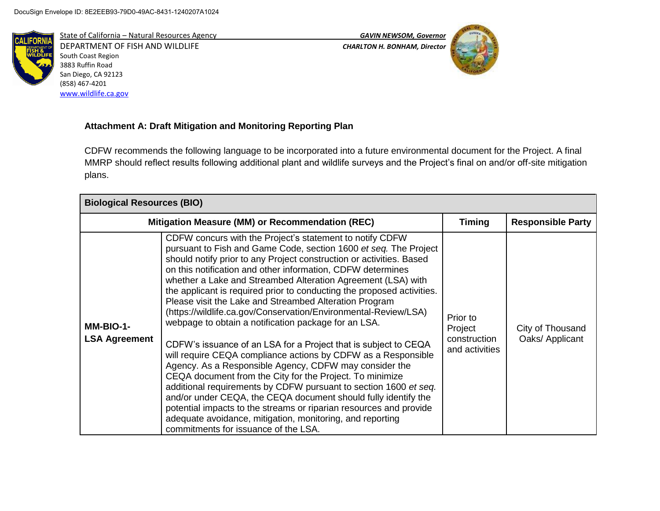

State of California – Natural Resources Agency *GAVIN NEWSOM, Governor* DEPARTMENT OF FISH AND WILDLIFE *CHARLTON H. BONHAM, Director*  South Coast Region 3883 Ruffin Road San Diego, CA 92123 (858) 467-4201 [www.wildlife.ca.gov](http://www.wildlife.ca.gov/)



# **Attachment A: Draft Mitigation and Monitoring Reporting Plan**

CDFW recommends the following language to be incorporated into a future environmental document for the Project. A final MMRP should reflect results following additional plant and wildlife surveys and the Project's final on and/or off-site mitigation plans.

| <b>Biological Resources (BIO)</b> |                                                                                                                                                                                                                                                                                                                                                                                                                                                                                                                                                                                                                                                                                                                                                                                                                                                                                                                                                                                                                                                                                                                                                                               |                                                       |                                     |
|-----------------------------------|-------------------------------------------------------------------------------------------------------------------------------------------------------------------------------------------------------------------------------------------------------------------------------------------------------------------------------------------------------------------------------------------------------------------------------------------------------------------------------------------------------------------------------------------------------------------------------------------------------------------------------------------------------------------------------------------------------------------------------------------------------------------------------------------------------------------------------------------------------------------------------------------------------------------------------------------------------------------------------------------------------------------------------------------------------------------------------------------------------------------------------------------------------------------------------|-------------------------------------------------------|-------------------------------------|
|                                   | Mitigation Measure (MM) or Recommendation (REC)                                                                                                                                                                                                                                                                                                                                                                                                                                                                                                                                                                                                                                                                                                                                                                                                                                                                                                                                                                                                                                                                                                                               |                                                       | <b>Responsible Party</b>            |
| MM-BIO-1-<br><b>LSA Agreement</b> | CDFW concurs with the Project's statement to notify CDFW<br>pursuant to Fish and Game Code, section 1600 et seq. The Project<br>should notify prior to any Project construction or activities. Based<br>on this notification and other information, CDFW determines<br>whether a Lake and Streambed Alteration Agreement (LSA) with<br>the applicant is required prior to conducting the proposed activities.<br>Please visit the Lake and Streambed Alteration Program<br>(https://wildlife.ca.gov/Conservation/Environmental-Review/LSA)<br>webpage to obtain a notification package for an LSA.<br>CDFW's issuance of an LSA for a Project that is subject to CEQA<br>will require CEQA compliance actions by CDFW as a Responsible<br>Agency. As a Responsible Agency, CDFW may consider the<br>CEQA document from the City for the Project. To minimize<br>additional requirements by CDFW pursuant to section 1600 et seq.<br>and/or under CEQA, the CEQA document should fully identify the<br>potential impacts to the streams or riparian resources and provide<br>adequate avoidance, mitigation, monitoring, and reporting<br>commitments for issuance of the LSA. | Prior to<br>Project<br>construction<br>and activities | City of Thousand<br>Oaks/ Applicant |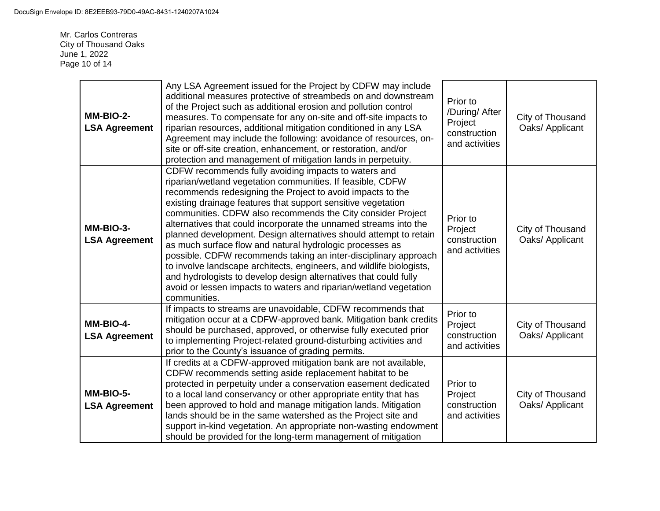Mr. Carlos Contreras City of Thousand Oaks June 1, 2022 Page 10 of 14

| MM-BIO-2-<br><b>LSA Agreement</b> | Any LSA Agreement issued for the Project by CDFW may include<br>additional measures protective of streambeds on and downstream<br>of the Project such as additional erosion and pollution control<br>measures. To compensate for any on-site and off-site impacts to<br>riparian resources, additional mitigation conditioned in any LSA<br>Agreement may include the following: avoidance of resources, on-<br>site or off-site creation, enhancement, or restoration, and/or<br>protection and management of mitigation lands in perpetuity.                                                                                                                                                                                                                                                                           | Prior to<br>/During/ After<br>Project<br>construction<br>and activities | City of Thousand<br>Oaks/ Applicant |
|-----------------------------------|--------------------------------------------------------------------------------------------------------------------------------------------------------------------------------------------------------------------------------------------------------------------------------------------------------------------------------------------------------------------------------------------------------------------------------------------------------------------------------------------------------------------------------------------------------------------------------------------------------------------------------------------------------------------------------------------------------------------------------------------------------------------------------------------------------------------------|-------------------------------------------------------------------------|-------------------------------------|
| MM-BIO-3-<br><b>LSA Agreement</b> | CDFW recommends fully avoiding impacts to waters and<br>riparian/wetland vegetation communities. If feasible, CDFW<br>recommends redesigning the Project to avoid impacts to the<br>existing drainage features that support sensitive vegetation<br>communities. CDFW also recommends the City consider Project<br>alternatives that could incorporate the unnamed streams into the<br>planned development. Design alternatives should attempt to retain<br>as much surface flow and natural hydrologic processes as<br>possible. CDFW recommends taking an inter-disciplinary approach<br>to involve landscape architects, engineers, and wildlife biologists,<br>and hydrologists to develop design alternatives that could fully<br>avoid or lessen impacts to waters and riparian/wetland vegetation<br>communities. | Prior to<br>Project<br>construction<br>and activities                   | City of Thousand<br>Oaks/ Applicant |
| MM-BIO-4-<br><b>LSA Agreement</b> | If impacts to streams are unavoidable, CDFW recommends that<br>mitigation occur at a CDFW-approved bank. Mitigation bank credits<br>should be purchased, approved, or otherwise fully executed prior<br>to implementing Project-related ground-disturbing activities and<br>prior to the County's issuance of grading permits.                                                                                                                                                                                                                                                                                                                                                                                                                                                                                           | Prior to<br>Project<br>construction<br>and activities                   | City of Thousand<br>Oaks/ Applicant |
| MM-BIO-5-<br><b>LSA Agreement</b> | If credits at a CDFW-approved mitigation bank are not available,<br>CDFW recommends setting aside replacement habitat to be<br>protected in perpetuity under a conservation easement dedicated<br>to a local land conservancy or other appropriate entity that has<br>been approved to hold and manage mitigation lands. Mitigation<br>lands should be in the same watershed as the Project site and<br>support in-kind vegetation. An appropriate non-wasting endowment<br>should be provided for the long-term management of mitigation                                                                                                                                                                                                                                                                                | Prior to<br>Project<br>construction<br>and activities                   | City of Thousand<br>Oaks/ Applicant |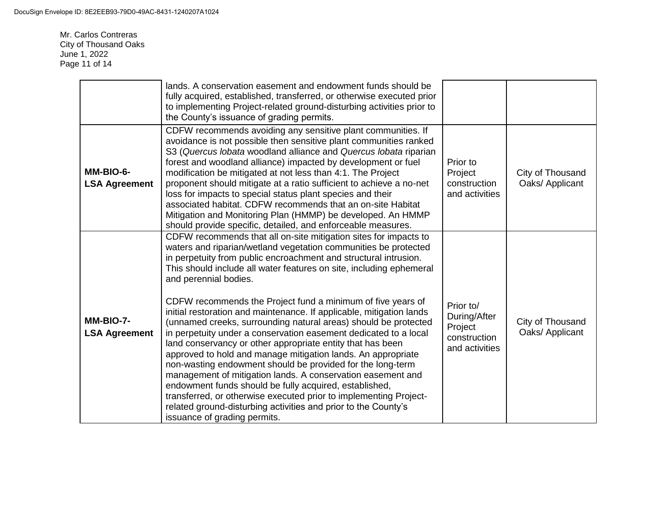Mr. Carlos Contreras City of Thousand Oaks June 1, 2022 Page 11 of 14

|                                   | lands. A conservation easement and endowment funds should be<br>fully acquired, established, transferred, or otherwise executed prior<br>to implementing Project-related ground-disturbing activities prior to<br>the County's issuance of grading permits.                                                                                                                                                                                                                                                                                                                                                                                                                                                                                                                                                                                                                                                                                                                                                                                                                       |                                                                        |                                     |
|-----------------------------------|-----------------------------------------------------------------------------------------------------------------------------------------------------------------------------------------------------------------------------------------------------------------------------------------------------------------------------------------------------------------------------------------------------------------------------------------------------------------------------------------------------------------------------------------------------------------------------------------------------------------------------------------------------------------------------------------------------------------------------------------------------------------------------------------------------------------------------------------------------------------------------------------------------------------------------------------------------------------------------------------------------------------------------------------------------------------------------------|------------------------------------------------------------------------|-------------------------------------|
| MM-BIO-6-<br><b>LSA Agreement</b> | CDFW recommends avoiding any sensitive plant communities. If<br>avoidance is not possible then sensitive plant communities ranked<br>S3 (Quercus lobata woodland alliance and Quercus lobata riparian<br>forest and woodland alliance) impacted by development or fuel<br>modification be mitigated at not less than 4:1. The Project<br>proponent should mitigate at a ratio sufficient to achieve a no-net<br>loss for impacts to special status plant species and their<br>associated habitat. CDFW recommends that an on-site Habitat<br>Mitigation and Monitoring Plan (HMMP) be developed. An HMMP<br>should provide specific, detailed, and enforceable measures.                                                                                                                                                                                                                                                                                                                                                                                                          | Prior to<br>Project<br>construction<br>and activities                  | City of Thousand<br>Oaks/ Applicant |
| MM-BIO-7-<br><b>LSA Agreement</b> | CDFW recommends that all on-site mitigation sites for impacts to<br>waters and riparian/wetland vegetation communities be protected<br>in perpetuity from public encroachment and structural intrusion.<br>This should include all water features on site, including ephemeral<br>and perennial bodies.<br>CDFW recommends the Project fund a minimum of five years of<br>initial restoration and maintenance. If applicable, mitigation lands<br>(unnamed creeks, surrounding natural areas) should be protected<br>in perpetuity under a conservation easement dedicated to a local<br>land conservancy or other appropriate entity that has been<br>approved to hold and manage mitigation lands. An appropriate<br>non-wasting endowment should be provided for the long-term<br>management of mitigation lands. A conservation easement and<br>endowment funds should be fully acquired, established,<br>transferred, or otherwise executed prior to implementing Project-<br>related ground-disturbing activities and prior to the County's<br>issuance of grading permits. | Prior to/<br>During/After<br>Project<br>construction<br>and activities | City of Thousand<br>Oaks/ Applicant |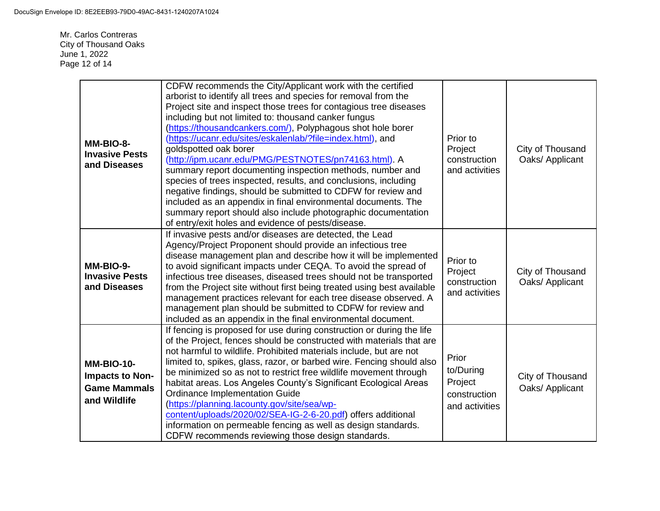Mr. Carlos Contreras City of Thousand Oaks June 1, 2022 Page 12 of 14

| MM-BIO-8-<br><b>Invasive Pests</b><br>and Diseases                          | CDFW recommends the City/Applicant work with the certified<br>arborist to identify all trees and species for removal from the<br>Project site and inspect those trees for contagious tree diseases<br>including but not limited to: thousand canker fungus<br>(https://thousandcankers.com/), Polyphagous shot hole borer<br>(https://ucanr.edu/sites/eskalenlab/?file=index.html), and<br>goldspotted oak borer<br>(http://ipm.ucanr.edu/PMG/PESTNOTES/pn74163.html). A<br>summary report documenting inspection methods, number and<br>species of trees inspected, results, and conclusions, including<br>negative findings, should be submitted to CDFW for review and<br>included as an appendix in final environmental documents. The<br>summary report should also include photographic documentation<br>of entry/exit holes and evidence of pests/disease. | Prior to<br>Project<br>construction<br>and activities           | City of Thousand<br>Oaks/ Applicant |
|-----------------------------------------------------------------------------|-------------------------------------------------------------------------------------------------------------------------------------------------------------------------------------------------------------------------------------------------------------------------------------------------------------------------------------------------------------------------------------------------------------------------------------------------------------------------------------------------------------------------------------------------------------------------------------------------------------------------------------------------------------------------------------------------------------------------------------------------------------------------------------------------------------------------------------------------------------------|-----------------------------------------------------------------|-------------------------------------|
| MM-BIO-9-<br><b>Invasive Pests</b><br>and Diseases                          | If invasive pests and/or diseases are detected, the Lead<br>Agency/Project Proponent should provide an infectious tree<br>disease management plan and describe how it will be implemented<br>to avoid significant impacts under CEQA. To avoid the spread of<br>infectious tree diseases, diseased trees should not be transported<br>from the Project site without first being treated using best available<br>management practices relevant for each tree disease observed. A<br>management plan should be submitted to CDFW for review and<br>included as an appendix in the final environmental document.                                                                                                                                                                                                                                                     | Prior to<br>Project<br>construction<br>and activities           | City of Thousand<br>Oaks/ Applicant |
| <b>MM-BIO-10-</b><br>Impacts to Non-<br><b>Game Mammals</b><br>and Wildlife | If fencing is proposed for use during construction or during the life<br>of the Project, fences should be constructed with materials that are<br>not harmful to wildlife. Prohibited materials include, but are not<br>limited to, spikes, glass, razor, or barbed wire. Fencing should also<br>be minimized so as not to restrict free wildlife movement through<br>habitat areas. Los Angeles County's Significant Ecological Areas<br><b>Ordinance Implementation Guide</b><br>(https://planning.lacounty.gov/site/sea/wp-<br>content/uploads/2020/02/SEA-IG-2-6-20.pdf) offers additional<br>information on permeable fencing as well as design standards.<br>CDFW recommends reviewing those design standards.                                                                                                                                               | Prior<br>to/During<br>Project<br>construction<br>and activities | City of Thousand<br>Oaks/ Applicant |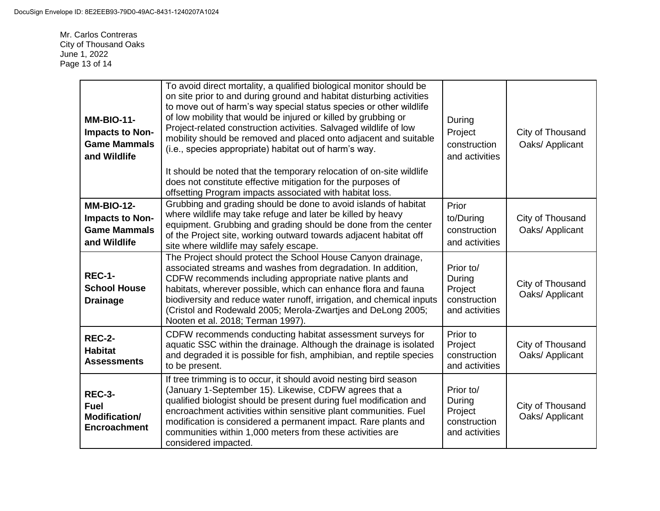Mr. Carlos Contreras City of Thousand Oaks June 1, 2022 Page 13 of 14

| <b>MM-BIO-11-</b><br><b>Impacts to Non-</b><br><b>Game Mammals</b><br>and Wildlife | To avoid direct mortality, a qualified biological monitor should be<br>on site prior to and during ground and habitat disturbing activities<br>to move out of harm's way special status species or other wildlife<br>of low mobility that would be injured or killed by grubbing or<br>Project-related construction activities. Salvaged wildlife of low<br>mobility should be removed and placed onto adjacent and suitable<br>(i.e., species appropriate) habitat out of harm's way.<br>It should be noted that the temporary relocation of on-site wildlife<br>does not constitute effective mitigation for the purposes of<br>offsetting Program impacts associated with habitat loss. | During<br>Project<br>construction<br>and activities              | City of Thousand<br>Oaks/ Applicant |
|------------------------------------------------------------------------------------|--------------------------------------------------------------------------------------------------------------------------------------------------------------------------------------------------------------------------------------------------------------------------------------------------------------------------------------------------------------------------------------------------------------------------------------------------------------------------------------------------------------------------------------------------------------------------------------------------------------------------------------------------------------------------------------------|------------------------------------------------------------------|-------------------------------------|
| <b>MM-BIO-12-</b><br>Impacts to Non-<br><b>Game Mammals</b><br>and Wildlife        | Grubbing and grading should be done to avoid islands of habitat<br>where wildlife may take refuge and later be killed by heavy<br>equipment. Grubbing and grading should be done from the center<br>of the Project site, working outward towards adjacent habitat off<br>site where wildlife may safely escape.                                                                                                                                                                                                                                                                                                                                                                            | Prior<br>to/During<br>construction<br>and activities             | City of Thousand<br>Oaks/ Applicant |
| <b>REC-1-</b><br><b>School House</b><br><b>Drainage</b>                            | The Project should protect the School House Canyon drainage,<br>associated streams and washes from degradation. In addition,<br>CDFW recommends including appropriate native plants and<br>habitats, wherever possible, which can enhance flora and fauna<br>biodiversity and reduce water runoff, irrigation, and chemical inputs<br>(Cristol and Rodewald 2005; Merola-Zwartjes and DeLong 2005;<br>Nooten et al. 2018; Terman 1997).                                                                                                                                                                                                                                                    | Prior to/<br>During<br>Project<br>construction<br>and activities | City of Thousand<br>Oaks/ Applicant |
| <b>REC-2-</b><br><b>Habitat</b><br><b>Assessments</b>                              | CDFW recommends conducting habitat assessment surveys for<br>aquatic SSC within the drainage. Although the drainage is isolated<br>and degraded it is possible for fish, amphibian, and reptile species<br>to be present.                                                                                                                                                                                                                                                                                                                                                                                                                                                                  | Prior to<br>Project<br>construction<br>and activities            | City of Thousand<br>Oaks/ Applicant |
| <b>REC-3-</b><br><b>Fuel</b><br>Modification/<br><b>Encroachment</b>               | If tree trimming is to occur, it should avoid nesting bird season<br>(January 1-September 15). Likewise, CDFW agrees that a<br>qualified biologist should be present during fuel modification and<br>encroachment activities within sensitive plant communities. Fuel<br>modification is considered a permanent impact. Rare plants and<br>communities within 1,000 meters from these activities are<br>considered impacted.                                                                                                                                                                                                                                                               | Prior to/<br>During<br>Project<br>construction<br>and activities | City of Thousand<br>Oaks/ Applicant |